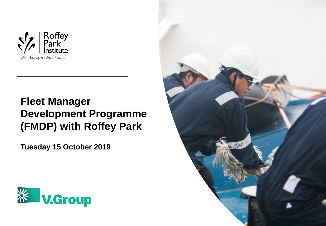

# **Fleet Manager Development Programme (FMDP) with Roffey Park**

**Tuesday 15 October 2019** 



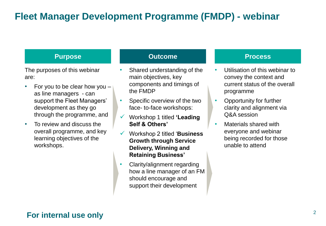# **Fleet Manager Development Programme (FMDP) - webinar**

The purposes of this webinar are:

- For you to be clear how you as line managers - can support the Fleet Managers' development as they go through the programme, and
- To review and discuss the overall programme, and key learning objectives of the workshops.

#### **Purpose Outcome Process**

- Shared understanding of the main objectives, key components and timings of the FMDP
- Specific overview of the two face- to-face workshops:
- ✓ Workshop 1 titled **'Leading Self & Others'**
- ✓ Workshop 2 titled '**Business Growth through Service Delivery, Winning and Retaining Business'**
- Clarity/alignment regarding how a line manager of an FM should encourage and support their development

- Utilisation of this webinar to convey the context and current status of the overall programme
- Opportunity for further clarity and alignment via Q&A session
- Materials shared with everyone and webinar being recorded for those unable to attend

### **For internal use only**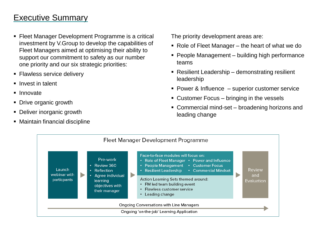## Executive Summary

- Fleet Manager Development Programme is a critical investment by V.Group to develop the capabilities of Fleet Managers aimed at optimising their ability to support our commitment to safety as our number one priority and our six strategic priorities:
- Flawless service delivery
- Invest in talent
- Innovate
- Drive organic growth
- **Deliver inorganic growth**
- Maintain financial discipline

The priority development areas are:

- $\blacksquare$  Role of Fleet Manager the heart of what we do
- People Management building high performance teams
- Resilient Leadership demonstrating resilient leadership
- Power & Influence superior customer service
- Customer Focus bringing in the vessels
- Commercial mind-set broadening horizons and leading change

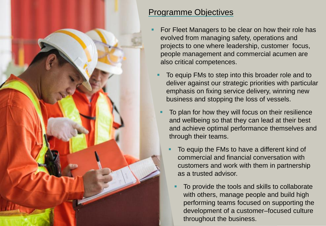

## Programme Objectives

- For Fleet Managers to be clear on how their role has evolved from managing safety, operations and projects to one where leadership, customer focus, people management and commercial acumen are also critical competences.
	- To equip FMs to step into this broader role and to deliver against our strategic priorities with particular emphasis on fixing service delivery, winning new business and stopping the loss of vessels.
		- To plan for how they will focus on their resilience and wellbeing so that they can lead at their best and achieve optimal performance themselves and through their teams.
			- To equip the FMs to have a different kind of commercial and financial conversation with customers and work with them in partnership as a trusted advisor.
				- To provide the tools and skills to collaborate with others, manage people and build high performing teams focused on supporting the development of a customer–focused culture throughout the business.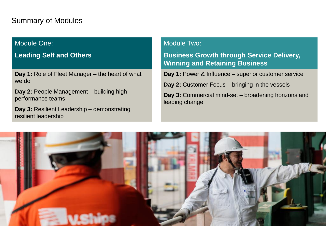## **Summary of Modules**

#### Module One:

### **Leading Self and Others**

**Day 1:** Role of Fleet Manager – the heart of what we do

**Day 2:** People Management – building high performance teams

**Day 3:** Resilient Leadership – demonstrating resilient leadership

#### Module Two:

**Business Growth through Service Delivery, Winning and Retaining Business** 

**Day 1:** Power & Influence – superior customer service

**Day 2:** Customer Focus – bringing in the vessels

**Day 3:** Commercial mind-set – broadening horizons and leading change

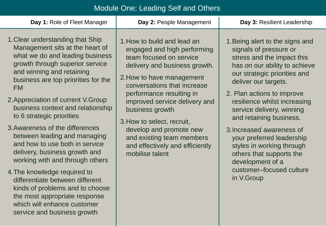## Module One: Leading Self and Others

| Day 1: Role of Fleet Manager                                                                                                                                                                                                                                                                                                                                                                                                                                                                                                                                                                                                                                                                                                                                                                                                                                                                                                        | Day 2: People Management<br>Day 3: Resilient Leadership                                                                                                                                                                                                                                                                                                                                                                                                                                                                                                                                                                                                                                 |
|-------------------------------------------------------------------------------------------------------------------------------------------------------------------------------------------------------------------------------------------------------------------------------------------------------------------------------------------------------------------------------------------------------------------------------------------------------------------------------------------------------------------------------------------------------------------------------------------------------------------------------------------------------------------------------------------------------------------------------------------------------------------------------------------------------------------------------------------------------------------------------------------------------------------------------------|-----------------------------------------------------------------------------------------------------------------------------------------------------------------------------------------------------------------------------------------------------------------------------------------------------------------------------------------------------------------------------------------------------------------------------------------------------------------------------------------------------------------------------------------------------------------------------------------------------------------------------------------------------------------------------------------|
| 1. Clear understanding that Ship<br>1. How to build and lead an<br>Management sits at the heart of<br>what we do and leading business<br>team focused on service<br>growth through superior service<br>and winning and retaining<br>2. How to have management<br>business are top priorities for the<br><b>FM</b><br>performance resulting in<br>2. Appreciation of current V. Group<br>business context and relationship<br>business growth<br>to 6 strategic priorities<br>3. How to select, recruit,<br>3. Awareness of the differences<br>develop and promote new<br>between leading and managing<br>and how to use both in service<br>delivery, business growth and<br>mobilise talent<br>working with and through others<br>4. The knowledge required to<br>differentiate between different<br>kinds of problems and to choose<br>the most appropriate response<br>which will enhance customer<br>service and business growth | 1. Being alert to the signs and<br>engaged and high performing<br>signals of pressure or<br>stress and the impact this<br>delivery and business growth.<br>has on our ability to achieve<br>our strategic priorities and<br>deliver our targets.<br>conversations that increase<br>2. Plan actions to improve<br>improved service delivery and<br>resilience whilst increasing<br>service delivery, winning<br>and retaining business.<br>3. Increased awareness of<br>and existing team members<br>your preferred leadership<br>and effectively and efficiently<br>styles in working through<br>others that supports the<br>development of a<br>customer-focused culture<br>in V.Group |